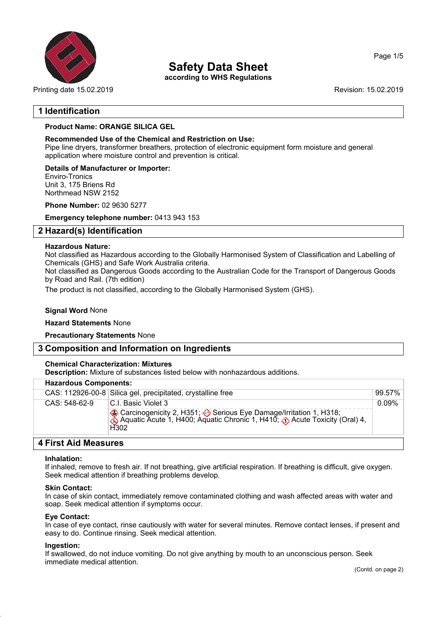

Printing date 15.02.2019 **Revision: 15.02.2019** Revision: 15.02.2019

## **Safety Data Sheet**

**according to WHS Regulations**

## **1 Identification**

## **Product Name: ORANGE SILICA GEL**

#### **Recommended Use of the Chemical and Restriction on Use:**

Pipe line dryers, transformer breathers, protection of electronic equipment form moisture and general application where moisture control and prevention is critical.

**Details of Manufacturer or Importer:** Enviro-Tronics Unit 3, 175 Briens Rd Northmead NSW 2152

**Phone Number:** 02 9630 5277

**Emergency telephone number:** 0413 943 153

## **2 Hazard(s) Identification**

#### **Hazardous Nature:**

Not classified as Hazardous according to the Globally Harmonised System of Classification and Labelling of Chemicals (GHS) and Safe Work Australia criteria.

Not classified as Dangerous Goods according to the Australian Code for the Transport of Dangerous Goods by Road and Rail. (7th edition)

The product is not classified, according to the Globally Harmonised System (GHS).

### **Signal Word** None

#### **Hazard Statements** None

**Precautionary Statements** None

## **3 Composition and Information on Ingredients**

#### **Chemical Characterization: Mixtures**

**Description:** Mixture of substances listed below with nonhazardous additions.

| <b>Hazardous Components:</b> |                                                                                                                                                                                                     |        |  |
|------------------------------|-----------------------------------------------------------------------------------------------------------------------------------------------------------------------------------------------------|--------|--|
|                              | CAS: 112926-00-8 Silica gel, precipitated, crystalline free                                                                                                                                         | 99.57% |  |
| $CAS: 548-62-9$              | I.C. L. Basic Violet 3<br>Carcinogenicity 2, H351; Serious Eye Damage/Irritation 1, H318;<br>Aquatic Acute 1, H400; Aquatic Chronic 1, H410; <b>(:</b> Acute Toxicity (Oral) 4,<br>H <sub>302</sub> | 0.09%  |  |
|                              |                                                                                                                                                                                                     |        |  |

## **4 First Aid Measures**

#### **Inhalation:**

If inhaled, remove to fresh air. If not breathing, give artificial respiration. If breathing is difficult, give oxygen. Seek medical attention if breathing problems develop.

#### **Skin Contact:**

In case of skin contact, immediately remove contaminated clothing and wash affected areas with water and soap. Seek medical attention if symptoms occur.

#### **Eye Contact:**

In case of eye contact, rinse cautiously with water for several minutes. Remove contact lenses, if present and easy to do. Continue rinsing. Seek medical attention.

#### **Ingestion:**

If swallowed, do not induce vomiting. Do not give anything by mouth to an unconscious person. Seek immediate medical attention.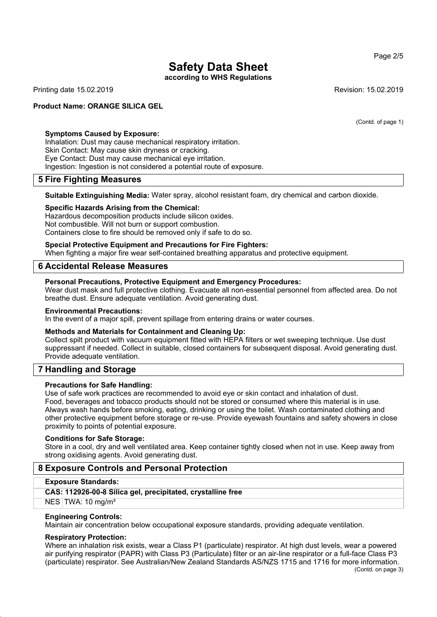**according to WHS Regulations**

Printing date 15.02.2019 **Revision: 15.02.2019** Revision: 15.02.2019

#### **Product Name: ORANGE SILICA GEL**

(Contd. of page 1)

**Symptoms Caused by Exposure:** Inhalation: Dust may cause mechanical respiratory irritation.

Skin Contact: May cause skin dryness or cracking. Eye Contact: Dust may cause mechanical eye irritation. Ingestion: Ingestion is not considered a potential route of exposure.

## **5 Fire Fighting Measures**

**Suitable Extinguishing Media:** Water spray, alcohol resistant foam, dry chemical and carbon dioxide.

## **Specific Hazards Arising from the Chemical:**

Hazardous decomposition products include silicon oxides. Not combustible. Will not burn or support combustion. Containers close to fire should be removed only if safe to do so.

#### **Special Protective Equipment and Precautions for Fire Fighters:**

When fighting a major fire wear self-contained breathing apparatus and protective equipment.

## **6 Accidental Release Measures**

#### **Personal Precautions, Protective Equipment and Emergency Procedures:**

Wear dust mask and full protective clothing. Evacuate all non-essential personnel from affected area. Do not breathe dust. Ensure adequate ventilation. Avoid generating dust.

#### **Environmental Precautions:**

In the event of a major spill, prevent spillage from entering drains or water courses.

#### **Methods and Materials for Containment and Cleaning Up:**

Collect spilt product with vacuum equipment fitted with HEPA filters or wet sweeping technique. Use dust suppressant if needed. Collect in suitable, closed containers for subsequent disposal. Avoid generating dust. Provide adequate ventilation.

## **7 Handling and Storage**

#### **Precautions for Safe Handling:**

Use of safe work practices are recommended to avoid eye or skin contact and inhalation of dust. Food, beverages and tobacco products should not be stored or consumed where this material is in use. Always wash hands before smoking, eating, drinking or using the toilet. Wash contaminated clothing and other protective equipment before storage or re-use. Provide eyewash fountains and safety showers in close proximity to points of potential exposure.

#### **Conditions for Safe Storage:**

Store in a cool, dry and well ventilated area. Keep container tightly closed when not in use. Keep away from strong oxidising agents. Avoid generating dust.

## **8 Exposure Controls and Personal Protection**

#### **Exposure Standards:**

#### **CAS: 112926-00-8 Silica gel, precipitated, crystalline free**

 $NES$  TWA: 10 mg/m<sup>3</sup>

#### **Engineering Controls:**

Maintain air concentration below occupational exposure standards, providing adequate ventilation.

#### **Respiratory Protection:**

Where an inhalation risk exists, wear a Class P1 (particulate) respirator. At high dust levels, wear a powered air purifying respirator (PAPR) with Class P3 (Particulate) filter or an air-line respirator or a full-face Class P3 (particulate) respirator. See Australian/New Zealand Standards AS/NZS 1715 and 1716 for more information. (Contd. on page 3)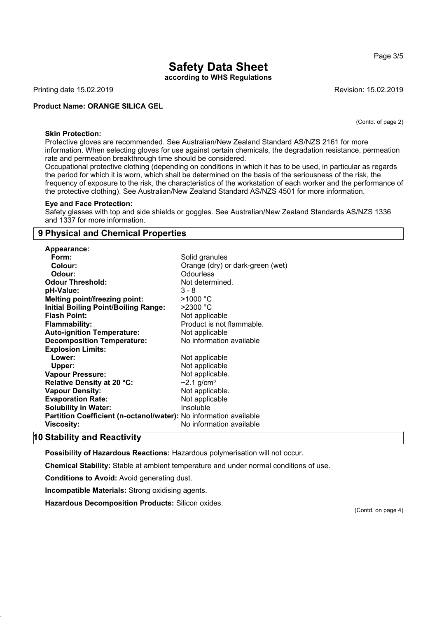**according to WHS Regulations**

Printing date 15.02.2019 **Revision: 15.02.2019** Revision: 15.02.2019

**Product Name: ORANGE SILICA GEL**

(Contd. of page 2)

#### **Skin Protection:**

Protective gloves are recommended. See Australian/New Zealand Standard AS/NZS 2161 for more information. When selecting gloves for use against certain chemicals, the degradation resistance, permeation rate and permeation breakthrough time should be considered.

Occupational protective clothing (depending on conditions in which it has to be used, in particular as regards the period for which it is worn, which shall be determined on the basis of the seriousness of the risk, the frequency of exposure to the risk, the characteristics of the workstation of each worker and the performance of the protective clothing). See Australian/New Zealand Standard AS/NZS 4501 for more information.

#### **Eye and Face Protection:**

Safety glasses with top and side shields or goggles. See Australian/New Zealand Standards AS/NZS 1336 and 1337 for more information.

## **9 Physical and Chemical Properties**

| Appearance:                                                       |                                  |
|-------------------------------------------------------------------|----------------------------------|
| Form:                                                             | Solid granules                   |
| Colour:                                                           | Orange (dry) or dark-green (wet) |
| Odour:                                                            | Odourless                        |
| <b>Odour Threshold:</b>                                           | Not determined.                  |
| pH-Value:                                                         | 3 - 8                            |
| <b>Melting point/freezing point:</b>                              | $>1000\text{ °C}$                |
| <b>Initial Boiling Point/Boiling Range:</b>                       | $>$ 2300 °C                      |
| <b>Flash Point:</b>                                               | Not applicable                   |
| <b>Flammability:</b>                                              | Product is not flammable.        |
| <b>Auto-ignition Temperature:</b>                                 | Not applicable                   |
| <b>Decomposition Temperature:</b>                                 | No information available         |
| <b>Explosion Limits:</b>                                          |                                  |
| Lower:                                                            | Not applicable                   |
| Upper:                                                            | Not applicable                   |
| <b>Vapour Pressure:</b>                                           | Not applicable.                  |
| Relative Density at 20 °C:                                        | $\sim$ 2.1 g/cm <sup>3</sup>     |
| <b>Vapour Density:</b>                                            | Not applicable.                  |
| <b>Evaporation Rate:</b>                                          | Not applicable                   |
| <b>Solubility in Water:</b>                                       | Insoluble                        |
| Partition Coefficient (n-octanol/water): No information available |                                  |
| Viscosity:                                                        | No information available         |
|                                                                   |                                  |

## **10 Stability and Reactivity**

**Possibility of Hazardous Reactions:** Hazardous polymerisation will not occur.

**Chemical Stability:** Stable at ambient temperature and under normal conditions of use.

**Conditions to Avoid:** Avoid generating dust.

**Incompatible Materials:** Strong oxidising agents.

**Hazardous Decomposition Products:** Silicon oxides.

(Contd. on page 4)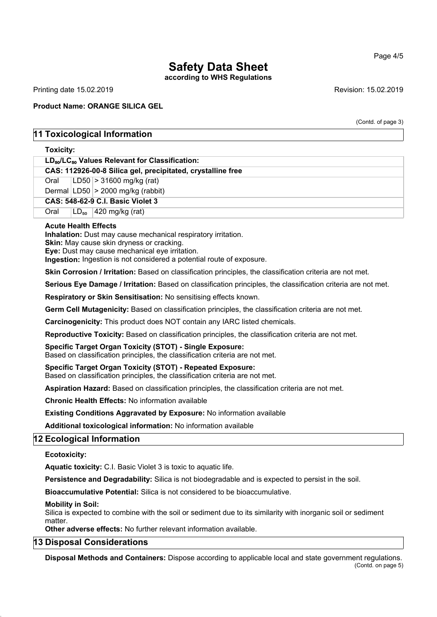**according to WHS Regulations**

Printing date 15.02.2019 **Revision: 15.02.2019** Revision: 15.02.2019

### **Product Name: ORANGE SILICA GEL**

(Contd. of page 3)

## **11 Toxicological Information**

#### **Toxicity:**

| $LD_{50}/LC_{50}$ Values Relevant for Classification:       |      |  |                                       |
|-------------------------------------------------------------|------|--|---------------------------------------|
| CAS: 112926-00-8 Silica gel, precipitated, crystalline free |      |  |                                       |
|                                                             |      |  | Oral $ LD50  > 31600$ mg/kg (rat)     |
|                                                             |      |  | Dermal $ LD50  > 2000$ mg/kg (rabbit) |
| CAS: 548-62-9 C.I. Basic Violet 3                           |      |  |                                       |
|                                                             | Oral |  | $ LD_{so} $ 420 mg/kg (rat)           |

#### **Acute Health Effects**

**Inhalation:** Dust may cause mechanical respiratory irritation.

**Skin:** May cause skin dryness or cracking.

**Eye:** Dust may cause mechanical eye irritation. **Ingestion:** Ingestion is not considered a potential route of exposure.

**Skin Corrosion / Irritation:** Based on classification principles, the classification criteria are not met.

**Serious Eye Damage / Irritation:** Based on classification principles, the classification criteria are not met.

**Respiratory or Skin Sensitisation:** No sensitising effects known.

**Germ Cell Mutagenicity:** Based on classification principles, the classification criteria are not met.

**Carcinogenicity:** This product does NOT contain any IARC listed chemicals.

**Reproductive Toxicity:** Based on classification principles, the classification criteria are not met.

**Specific Target Organ Toxicity (STOT) - Single Exposure:**

Based on classification principles, the classification criteria are not met.

**Specific Target Organ Toxicity (STOT) - Repeated Exposure:**

Based on classification principles, the classification criteria are not met.

**Aspiration Hazard:** Based on classification principles, the classification criteria are not met.

**Chronic Health Effects:** No information available

**Existing Conditions Aggravated by Exposure:** No information available

**Additional toxicological information:** No information available

## **12 Ecological Information**

## **Ecotoxicity:**

**Aquatic toxicity:** C.I. Basic Violet 3 is toxic to aquatic life.

**Persistence and Degradability:** Silica is not biodegradable and is expected to persist in the soil.

**Bioaccumulative Potential:** Silica is not considered to be bioaccumulative.

**Mobility in Soil:**

Silica is expected to combine with the soil or sediment due to its similarity with inorganic soil or sediment matter.

**Other adverse effects:** No further relevant information available.

## **13 Disposal Considerations**

**Disposal Methods and Containers:** Dispose according to applicable local and state government regulations. (Contd. on page 5)